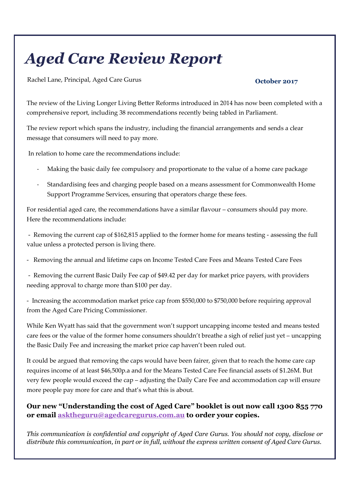# Aged Care Review Report

Rachel Lane, Principal, Aged Care Gurus October 2017

The review of the Living Longer Living Better Reforms introduced in 2014 has now been completed with a comprehensive report, including 38 recommendations recently being tabled in Parliament.

The review report which spans the industry, including the financial arrangements and sends a clear message that consumers will need to pay more.

In relation to home care the recommendations include:

- Making the basic daily fee compulsory and proportionate to the value of a home care package
- Standardising fees and charging people based on a means assessment for Commonwealth Home Support Programme Services, ensuring that operators charge these fees.

For residential aged care, the recommendations have a similar flavour – consumers should pay more. Here the recommendations include:

 - Removing the current cap of \$162,815 applied to the former home for means testing - assessing the full value unless a protected person is living there.

- Removing the annual and lifetime caps on Income Tested Care Fees and Means Tested Care Fees

 - Removing the current Basic Daily Fee cap of \$49.42 per day for market price payers, with providers needing approval to charge more than \$100 per day.

- Increasing the accommodation market price cap from \$550,000 to \$750,000 before requiring approval from the Aged Care Pricing Commissioner.

While Ken Wyatt has said that the government won't support uncapping income tested and means tested care fees or the value of the former home consumers shouldn't breathe a sigh of relief just yet – uncapping the Basic Daily Fee and increasing the market price cap haven't been ruled out.

It could be argued that removing the caps would have been fairer, given that to reach the home care cap requires income of at least \$46,500p.a and for the Means Tested Care Fee financial assets of \$1.26M. But very few people would exceed the cap – adjusting the Daily Care Fee and accommodation cap will ensure more people pay more for care and that's what this is about.

Our new "Understanding the cost of Aged Care" booklet is out now call 1300 855 770 or email asktheguru@agedcaregurus.com.au to order your copies.

This communication is confidential and copyright of Aged Care Gurus. You should not copy, disclose or distribute this communication, in part or in full, without the express written consent of Aged Care Gurus.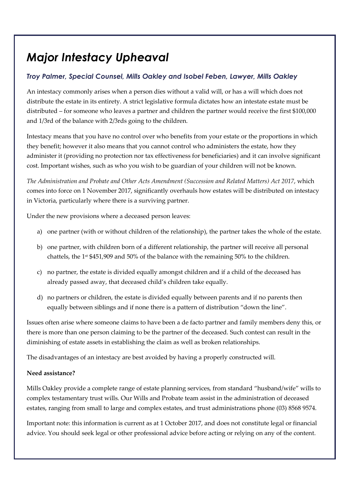## Major Intestacy Upheaval

### Troy Palmer, Special Counsel, Mills Oakley and Isobel Feben, Lawyer, Mills Oakley

An intestacy commonly arises when a person dies without a valid will, or has a will which does not distribute the estate in its entirety. A strict legislative formula dictates how an intestate estate must be distributed – for someone who leaves a partner and children the partner would receive the first \$100,000 and 1/3rd of the balance with 2/3rds going to the children.

Intestacy means that you have no control over who benefits from your estate or the proportions in which they benefit; however it also means that you cannot control who administers the estate, how they administer it (providing no protection nor tax effectiveness for beneficiaries) and it can involve significant cost. Important wishes, such as who you wish to be guardian of your children will not be known.

The Administration and Probate and Other Acts Amendment (Succession and Related Matters) Act 2017, which comes into force on 1 November 2017, significantly overhauls how estates will be distributed on intestacy in Victoria, particularly where there is a surviving partner.

Under the new provisions where a deceased person leaves:

- a) one partner (with or without children of the relationship), the partner takes the whole of the estate.
- b) one partner, with children born of a different relationship, the partner will receive all personal chattels, the  $1<sup>st</sup>$  \$451,909 and 50% of the balance with the remaining 50% to the children.
- c) no partner, the estate is divided equally amongst children and if a child of the deceased has already passed away, that deceased child's children take equally.
- d) no partners or children, the estate is divided equally between parents and if no parents then equally between siblings and if none there is a pattern of distribution "down the line".

Issues often arise where someone claims to have been a de facto partner and family members deny this, or there is more than one person claiming to be the partner of the deceased. Such contest can result in the diminishing of estate assets in establishing the claim as well as broken relationships.

The disadvantages of an intestacy are best avoided by having a properly constructed will.

#### Need assistance?

Mills Oakley provide a complete range of estate planning services, from standard "husband/wife" wills to complex testamentary trust wills. Our Wills and Probate team assist in the administration of deceased estates, ranging from small to large and complex estates, and trust administrations phone (03) 8568 9574.

Important note: this information is current as at 1 October 2017, and does not constitute legal or financial advice. You should seek legal or other professional advice before acting or relying on any of the content.